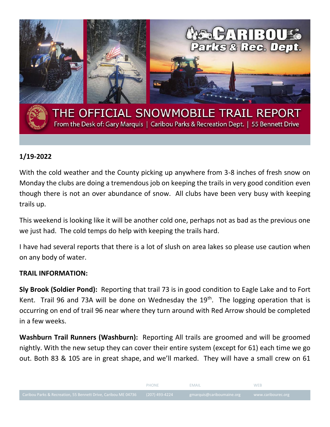

## **1/19-2022**

With the cold weather and the County picking up anywhere from 3-8 inches of fresh snow on Monday the clubs are doing a tremendous job on keeping the trails in very good condition even though there is not an over abundance of snow. All clubs have been very busy with keeping trails up.

This weekend is looking like it will be another cold one, perhaps not as bad as the previous one we just had. The cold temps do help with keeping the trails hard.

I have had several reports that there is a lot of slush on area lakes so please use caution when on any body of water.

## **TRAIL INFORMATION:**

**Sly Brook (Soldier Pond):** Reporting that trail 73 is in good condition to Eagle Lake and to Fort Kent. Trail 96 and 73A will be done on Wednesday the  $19<sup>th</sup>$ . The logging operation that is occurring on end of trail 96 near where they turn around with Red Arrow should be completed in a few weeks.

**Washburn Trail Runners (Washburn):** Reporting All trails are groomed and will be groomed nightly. With the new setup they can cover their entire system (except for 61) each time we go out. Both 83 & 105 are in great shape, and we'll marked. They will have a small crew on 61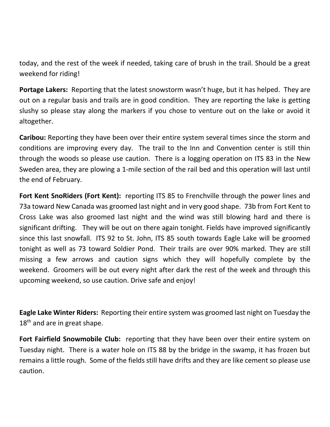today, and the rest of the week if needed, taking care of brush in the trail. Should be a great weekend for riding!

**Portage Lakers:** Reporting that the latest snowstorm wasn't huge, but it has helped. They are out on a regular basis and trails are in good condition. They are reporting the lake is getting slushy so please stay along the markers if you chose to venture out on the lake or avoid it altogether.

**Caribou:** Reporting they have been over their entire system several times since the storm and conditions are improving every day. The trail to the Inn and Convention center is still thin through the woods so please use caution. There is a logging operation on ITS 83 in the New Sweden area, they are plowing a 1-mile section of the rail bed and this operation will last until the end of February.

**Fort Kent SnoRiders (Fort Kent):** reporting ITS 85 to Frenchville through the power lines and 73a toward New Canada was groomed last night and in very good shape. 73b from Fort Kent to Cross Lake was also groomed last night and the wind was still blowing hard and there is significant drifting. They will be out on there again tonight. Fields have improved significantly since this last snowfall. ITS 92 to St. John, ITS 85 south towards Eagle Lake will be groomed tonight as well as 73 toward Soldier Pond. Their trails are over 90% marked. They are still missing a few arrows and caution signs which they will hopefully complete by the weekend. Groomers will be out every night after dark the rest of the week and through this upcoming weekend, so use caution. Drive safe and enjoy!

**Eagle Lake Winter Riders:** Reporting their entire system was groomed last night on Tuesday the 18<sup>th</sup> and are in great shape.

**Fort Fairfield Snowmobile Club:** reporting that they have been over their entire system on Tuesday night. There is a water hole on ITS 88 by the bridge in the swamp, it has frozen but remains a little rough. Some of the fields still have drifts and they are like cement so please use caution.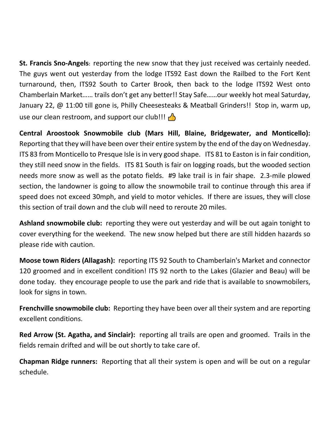**St. Francis Sno-Angels:** reporting the new snow that they just received was certainly needed. The guys went out yesterday from the lodge ITS92 East down the Railbed to the Fort Kent turnaround, then, ITS92 South to Carter Brook, then back to the lodge ITS92 West onto Chamberlain Market…… trails don't get any better!! Stay Safe……our weekly hot meal Saturday, January 22, @ 11:00 till gone is, Philly Cheesesteaks & Meatball Grinders!! Stop in, warm up, use our clean restroom, and support our club!!!  $\bigcap$ 

**Central Aroostook Snowmobile club (Mars Hill, Blaine, Bridgewater, and Monticello):** Reporting that they will have been over their entire system by the end of the day on Wednesday. ITS 83 from Monticello to Presque Isle is in very good shape. ITS 81 to Easton is in fair condition, they still need snow in the fields. ITS 81 South is fair on logging roads, but the wooded section needs more snow as well as the potato fields. #9 lake trail is in fair shape. 2.3-mile plowed section, the landowner is going to allow the snowmobile trail to continue through this area if speed does not exceed 30mph, and yield to motor vehicles. If there are issues, they will close this section of trail down and the club will need to reroute 20 miles.

**Ashland snowmobile club:** reporting they were out yesterday and will be out again tonight to cover everything for the weekend. The new snow helped but there are still hidden hazards so please ride with caution.

**Moose town Riders (Allagash):** reporting ITS 92 South to Chamberlain's Market and connector 120 groomed and in excellent condition! ITS 92 north to the Lakes (Glazier and Beau) will be done today. they encourage people to use the park and ride that is available to snowmobilers, look for signs in town.

**Frenchville snowmobile club:** Reporting they have been over all their system and are reporting excellent conditions.

**Red Arrow (St. Agatha, and Sinclair):** reporting all trails are open and groomed. Trails in the fields remain drifted and will be out shortly to take care of.

**Chapman Ridge runners:** Reporting that all their system is open and will be out on a regular schedule.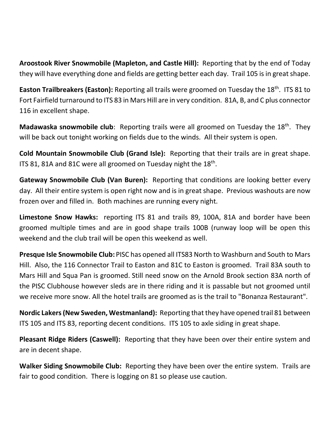**Aroostook River Snowmobile (Mapleton, and Castle Hill):** Reporting that by the end of Today they will have everything done and fields are getting better each day. Trail 105 is in great shape.

Easton Trailbreakers (Easton): Reporting all trails were groomed on Tuesday the 18<sup>th</sup>. ITS 81 to Fort Fairfield turnaround to ITS 83 in Mars Hill are in very condition. 81A, B, and C plus connector 116 in excellent shape.

**Madawaska snowmobile club**: Reporting trails were all groomed on Tuesday the 18<sup>th</sup>. They will be back out tonight working on fields due to the winds. All their system is open.

**Cold Mountain Snowmobile Club (Grand Isle):** Reporting that their trails are in great shape. ITS 81, 81A and 81C were all groomed on Tuesday night the  $18<sup>th</sup>$ .

**Gateway Snowmobile Club (Van Buren):** Reporting that conditions are looking better every day. All their entire system is open right now and is in great shape. Previous washouts are now frozen over and filled in. Both machines are running every night.

**Limestone Snow Hawks:** reporting ITS 81 and trails 89, 100A, 81A and border have been groomed multiple times and are in good shape trails 100B (runway loop will be open this weekend and the club trail will be open this weekend as well.

**Presque Isle Snowmobile Club:** PISC has opened all ITS83 North to Washburn and South to Mars Hill. Also, the 116 Connector Trail to Easton and 81C to Easton is groomed. Trail 83A south to Mars Hill and Squa Pan is groomed. Still need snow on the Arnold Brook section 83A north of the PISC Clubhouse however sleds are in there riding and it is passable but not groomed until we receive more snow. All the hotel trails are groomed as is the trail to "Bonanza Restaurant".

**Nordic Lakers (New Sweden, Westmanland):** Reporting that they have opened trail 81 between ITS 105 and ITS 83, reporting decent conditions. ITS 105 to axle siding in great shape.

**Pleasant Ridge Riders (Caswell):** Reporting that they have been over their entire system and are in decent shape.

**Walker Siding Snowmobile Club:** Reporting they have been over the entire system. Trails are fair to good condition. There is logging on 81 so please use caution.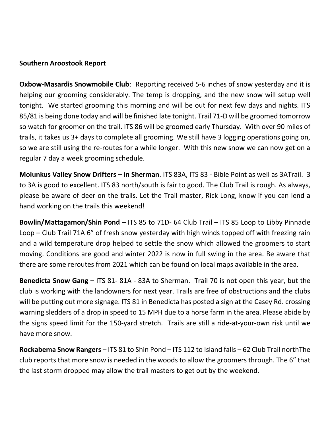## **Southern Aroostook Report**

**Oxbow-Masardis Snowmobile Club**: Reporting received 5-6 inches of snow yesterday and it is helping our grooming considerably. The temp is dropping, and the new snow will setup well tonight. We started grooming this morning and will be out for next few days and nights. ITS 85/81 is being done today and will be finished late tonight. Trail 71-D will be groomed tomorrow so watch for groomer on the trail. ITS 86 will be groomed early Thursday. With over 90 miles of trails, it takes us 3+ days to complete all grooming. We still have 3 logging operations going on, so we are still using the re-routes for a while longer. With this new snow we can now get on a regular 7 day a week grooming schedule.

**Molunkus Valley Snow Drifters – in Sherman**. ITS 83A, ITS 83 - Bible Point as well as 3ATrail. 3 to 3A is good to excellent. ITS 83 north/south is fair to good. The Club Trail is rough. As always, please be aware of deer on the trails. Let the Trail master, Rick Long, know if you can lend a hand working on the trails this weekend!

**Bowlin/Mattagamon/Shin Pond** – ITS 85 to 71D- 64 Club Trail – ITS 85 Loop to Libby Pinnacle Loop – Club Trail 71A 6" of fresh snow yesterday with high winds topped off with freezing rain and a wild temperature drop helped to settle the snow which allowed the groomers to start moving. Conditions are good and winter 2022 is now in full swing in the area. Be aware that there are some reroutes from 2021 which can be found on local maps available in the area.

**Benedicta Snow Gang –** ITS 81- 81A - 83A to Sherman. Trail 70 is not open this year, but the club is working with the landowners for next year. Trails are free of obstructions and the clubs will be putting out more signage. ITS 81 in Benedicta has posted a sign at the Casey Rd. crossing warning sledders of a drop in speed to 15 MPH due to a horse farm in the area. Please abide by the signs speed limit for the 150-yard stretch. Trails are still a ride-at-your-own risk until we have more snow.

**Rockabema Snow Rangers** – ITS 81 to Shin Pond – ITS 112 to Island falls – 62 Club Trail northThe club reports that more snow is needed in the woods to allow the groomers through. The 6" that the last storm dropped may allow the trail masters to get out by the weekend.